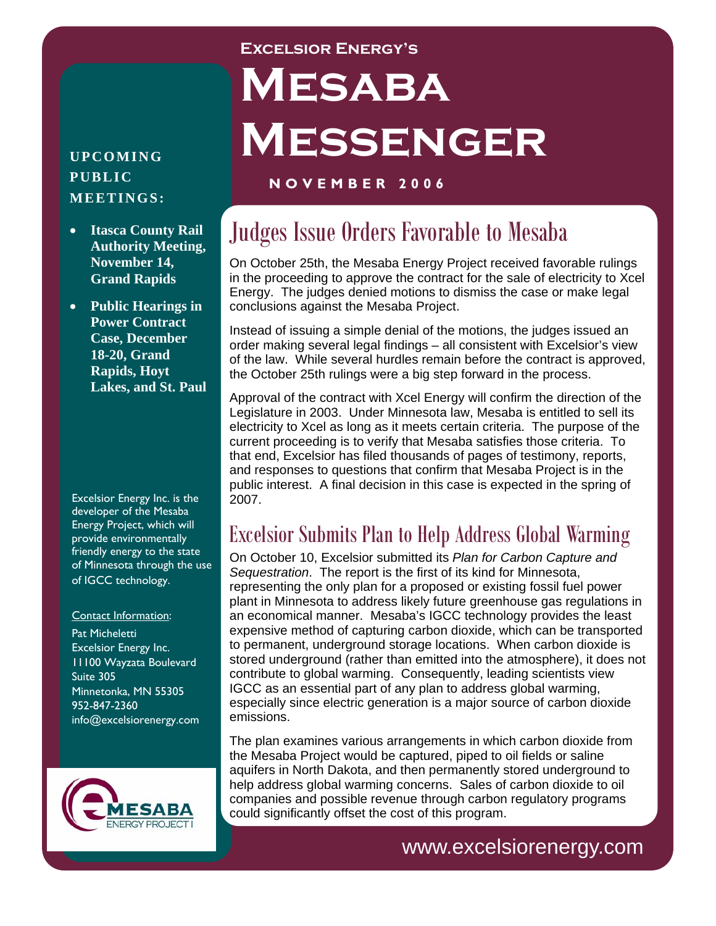#### **Excelsior Energy's**

# **Mesaba Messenger**

#### **UPCOMING PUBLIC MEETINGS:**

- **Itasca County Rail Authority Meeting, November 14, Grand Rapids**
- **Public Hearings in Power Contract Case, December 18-20, Grand Rapids, Hoyt Lakes, and St. Paul**

Excelsior Energy Inc. is the developer of the Mesaba Energy Project, which will provide environmentally friendly energy to the state of Minnesota through the use of IGCC technology.

#### Contact Information:

Pat Micheletti Excelsior Energy Inc. 11100 Wayzata Boulevard Suite 305 Minnetonka, MN 55305 952-847-2360 info@excelsiorenergy.com



#### **NOVEMBER 2006**

# Judges Issue Orders Favorable to Mesaba

On October 25th, the Mesaba Energy Project received favorable rulings in the proceeding to approve the contract for the sale of electricity to Xcel Energy. The judges denied motions to dismiss the case or make legal conclusions against the Mesaba Project.

Instead of issuing a simple denial of the motions, the judges issued an order making several legal findings – all consistent with Excelsior's view of the law. While several hurdles remain before the contract is approved, the October 25th rulings were a big step forward in the process.

Approval of the contract with Xcel Energy will confirm the direction of the Legislature in 2003. Under Minnesota law, Mesaba is entitled to sell its electricity to Xcel as long as it meets certain criteria. The purpose of the current proceeding is to verify that Mesaba satisfies those criteria. To that end, Excelsior has filed thousands of pages of testimony, reports, and responses to questions that confirm that Mesaba Project is in the public interest. A final decision in this case is expected in the spring of 2007.

# Excelsior Submits Plan to Help Address Global Warming

On October 10, Excelsior submitted its *Plan for Carbon Capture and Sequestration*. The report is the first of its kind for Minnesota, representing the only plan for a proposed or existing fossil fuel power plant in Minnesota to address likely future greenhouse gas regulations in an economical manner. Mesaba's IGCC technology provides the least expensive method of capturing carbon dioxide, which can be transported to permanent, underground storage locations. When carbon dioxide is stored underground (rather than emitted into the atmosphere), it does not contribute to global warming. Consequently, leading scientists view IGCC as an essential part of any plan to address global warming, especially since electric generation is a major source of carbon dioxide emissions.

The plan examines various arrangements in which carbon dioxide from the Mesaba Project would be captured, piped to oil fields or saline aquifers in North Dakota, and then permanently stored underground to help address global warming concerns. Sales of carbon dioxide to oil companies and possible revenue through carbon regulatory programs could significantly offset the cost of this program.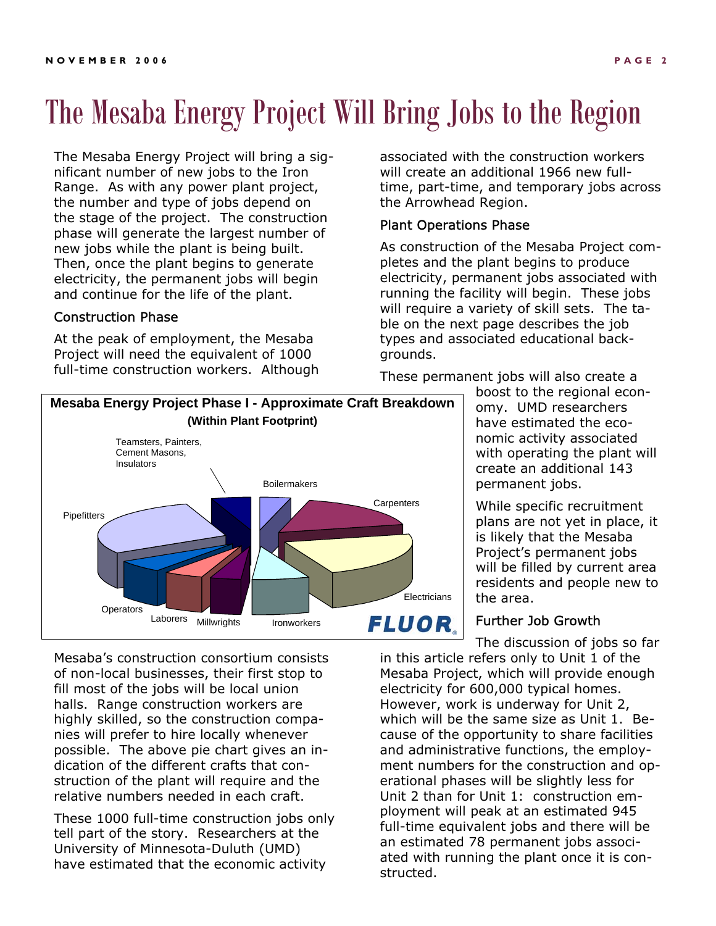# The Mesaba Energy Project Will Bring Jobs to the Region

The Mesaba Energy Project will bring a significant number of new jobs to the Iron Range. As with any power plant project, the number and type of jobs depend on the stage of the project. The construction phase will generate the largest number of new jobs while the plant is being built. Then, once the plant begins to generate electricity, the permanent jobs will begin and continue for the life of the plant.

#### Construction Phase

**Pipefitters** 

At the peak of employment, the Mesaba Project will need the equivalent of 1000 full-time construction workers. Although

> Teamsters, Painters, Cement Masons, Insulators

associated with the construction workers will create an additional 1966 new fulltime, part-time, and temporary jobs across the Arrowhead Region.

#### Plant Operations Phase

As construction of the Mesaba Project completes and the plant begins to produce electricity, permanent jobs associated with running the facility will begin. These jobs will require a variety of skill sets. The table on the next page describes the job types and associated educational backgrounds.

These permanent jobs will also create a

boost to the regional economy. UMD researchers have estimated the economic activity associated with operating the plant will create an additional 143 permanent jobs.

While specific recruitment plans are not yet in place, it is likely that the Mesaba Project's permanent jobs will be filled by current area residents and people new to the area.

#### Further Job Growth

The discussion of jobs so far in this article refers only to Unit 1 of the Mesaba Project, which will provide enough electricity for 600,000 typical homes. However, work is underway for Unit 2, which will be the same size as Unit 1. Because of the opportunity to share facilities and administrative functions, the employment numbers for the construction and operational phases will be slightly less for Unit 2 than for Unit 1: construction employment will peak at an estimated 945 full-time equivalent jobs and there will be an estimated 78 permanent jobs associated with running the plant once it is constructed.

Mesaba's construction consortium consists of non-local businesses, their first stop to fill most of the jobs will be local union halls. Range construction workers are highly skilled, so the construction companies will prefer to hire locally whenever possible. The above pie chart gives an indication of the different crafts that construction of the plant will require and the relative numbers needed in each craft.

These 1000 full-time construction jobs only tell part of the story. Researchers at the University of Minnesota-Duluth (UMD) have estimated that the economic activity

## **FLUOR**

# **Electricians**

**Carpenters** 

Laborers Millwrights Ironworkers **Operators** 

Boilermakers

**Mesaba Energy Project Phase I - Approximate Craft Breakdown (Within Plant Footprint)**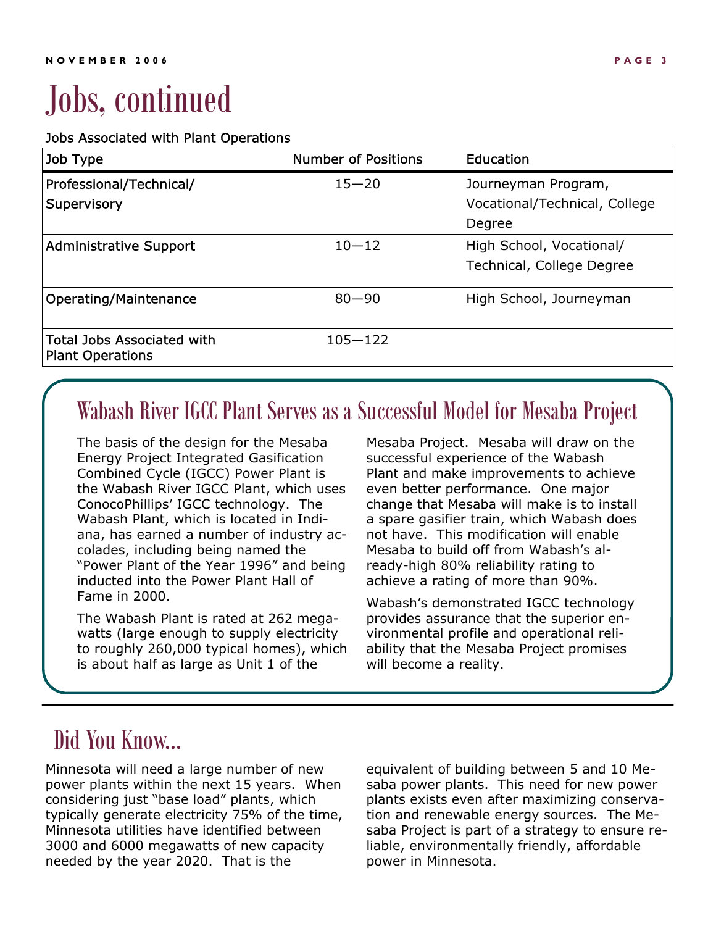# Jobs, continued

#### Jobs Associated with Plant Operations

| Job Type                                                     | <b>Number of Positions</b> | Education                     |
|--------------------------------------------------------------|----------------------------|-------------------------------|
| Professional/Technical/                                      | $15 - 20$                  | Journeyman Program,           |
| Supervisory                                                  |                            | Vocational/Technical, College |
|                                                              |                            | Degree                        |
| <b>Administrative Support</b>                                | $10 - 12$                  | High School, Vocational/      |
|                                                              |                            | Technical, College Degree     |
| Operating/Maintenance                                        | $80 - 90$                  | High School, Journeyman       |
| <b>Total Jobs Associated with</b><br><b>Plant Operations</b> | $105 - 122$                |                               |

# Wabash River IGCC Plant Serves as a Successful Model for Mesaba Project

The basis of the design for the Mesaba Energy Project Integrated Gasification Combined Cycle (IGCC) Power Plant is the Wabash River IGCC Plant, which uses ConocoPhillips' IGCC technology. The Wabash Plant, which is located in Indiana, has earned a number of industry accolades, including being named the "Power Plant of the Year 1996" and being inducted into the Power Plant Hall of Fame in 2000.

The Wabash Plant is rated at 262 megawatts (large enough to supply electricity to roughly 260,000 typical homes), which is about half as large as Unit 1 of the

Mesaba Project. Mesaba will draw on the successful experience of the Wabash Plant and make improvements to achieve even better performance. One major change that Mesaba will make is to install a spare gasifier train, which Wabash does not have. This modification will enable Mesaba to build off from Wabash's already-high 80% reliability rating to achieve a rating of more than 90%.

Wabash's demonstrated IGCC technology provides assurance that the superior environmental profile and operational reliability that the Mesaba Project promises will become a reality.

# Did You Know...

Minnesota will need a large number of new power plants within the next 15 years. When considering just "base load" plants, which typically generate electricity 75% of the time, Minnesota utilities have identified between 3000 and 6000 megawatts of new capacity needed by the year 2020. That is the

equivalent of building between 5 and 10 Mesaba power plants. This need for new power plants exists even after maximizing conservation and renewable energy sources. The Mesaba Project is part of a strategy to ensure reliable, environmentally friendly, affordable power in Minnesota.